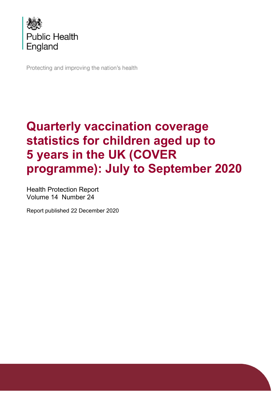

Protecting and improving the nation's health

# **Quarterly vaccination coverage statistics for children aged up to 5 years in the UK (COVER programme): July to September 2020**

Health Protection Report Volume 14 Number 24

Report published 22 December 2020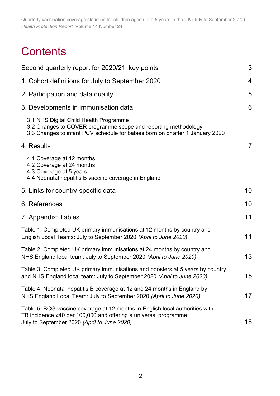# **Contents**

| Second quarterly report for 2020/21: key points                                                                                                                                                 | 3              |
|-------------------------------------------------------------------------------------------------------------------------------------------------------------------------------------------------|----------------|
| 1. Cohort definitions for July to September 2020                                                                                                                                                | $\overline{4}$ |
| 2. Participation and data quality                                                                                                                                                               | 5              |
| 3. Developments in immunisation data                                                                                                                                                            | 6              |
| 3.1 NHS Digital Child Health Programme<br>3.2 Changes to COVER programme scope and reporting methodology<br>3.3 Changes to infant PCV schedule for babies born on or after 1 January 2020       |                |
| 4. Results                                                                                                                                                                                      | $\overline{7}$ |
| 4.1 Coverage at 12 months<br>4.2 Coverage at 24 months<br>4.3 Coverage at 5 years<br>4.4 Neonatal hepatitis B vaccine coverage in England                                                       |                |
| 5. Links for country-specific data                                                                                                                                                              | 10             |
| 6. References                                                                                                                                                                                   | 10             |
| 7. Appendix: Tables                                                                                                                                                                             | 11             |
| Table 1. Completed UK primary immunisations at 12 months by country and<br>English Local Teams: July to September 2020 (April to June 2020)                                                     | 11             |
| Table 2. Completed UK primary immunisations at 24 months by country and<br>NHS England local team: July to September 2020 (April to June 2020)                                                  | 13             |
| Table 3. Completed UK primary immunisations and boosters at 5 years by country<br>and NHS England local team: July to September 2020 (April to June 2020)                                       | 15             |
| Table 4. Neonatal hepatitis B coverage at 12 and 24 months in England by<br>NHS England Local Team: July to September 2020 (April to June 2020)                                                 | 17             |
| Table 5. BCG vaccine coverage at 12 months in English local authorities with<br>TB incidence ≥40 per 100,000 and offering a universal programme:<br>July to September 2020 (April to June 2020) | 18             |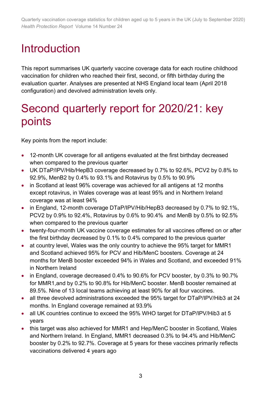# Introduction

This report summarises UK quarterly vaccine coverage data for each routine childhood vaccination for children who reached their first, second, or fifth birthday during the evaluation quarter. Analyses are presented at NHS England local team (April 2018 configuration) and devolved administration levels only.

### <span id="page-2-0"></span>Second quarterly report for 2020/21: key points

Key points from the report include:

- 12-month UK coverage for all antigens evaluated at the first birthday decreased when compared to the previous quarter
- UK DTaP/IPV/Hib/HepB3 coverage decreased by 0.7% to 92.6%, PCV2 by 0.8% to 92.9%, MenB2 by 0.4% to 93.1% and Rotavirus by 0.5% to 90.9%
- in Scotland at least 96% coverage was achieved for all antigens at 12 months except rotavirus, in Wales coverage was at least 95% and in Northern Ireland coverage was at least 94%
- in England, 12-month coverage DTaP/IPV/Hib/HepB3 decreased by 0.7% to 92.1%, PCV2 by 0.9% to 92.4%, Rotavirus by 0.6% to 90.4% and MenB by 0.5% to 92.5% when compared to the previous quarter
- twenty-four-month UK vaccine coverage estimates for all vaccines offered on or after the first birthday decreased by 0.1% to 0.4% compared to the previous quarter
- at country level, Wales was the only country to achieve the 95% target for MMR1 and Scotland achieved 95% for PCV and Hib/MenC boosters. Coverage at 24 months for MenB booster exceeded 94% in Wales and Scotland, and exceeded 91% in Northern Ireland
- in England, coverage decreased 0.4% to 90.6% for PCV booster, by 0.3% to 90.7% for MMR1,and by 0.2% to 90.8% for Hib/MenC booster. MenB booster remained at 89.5%. Nine of 13 local teams achieving at least 90% for all four vaccines.
- all three devolved administrations exceeded the 95% target for DTaP/IPV/Hib3 at 24 months. In England coverage remained at 93.9%
- all UK countries continue to exceed the 95% WHO target for DTaP/IPV/Hib3 at 5 years
- this target was also achieved for MMR1 and Hep/MenC booster in Scotland, Wales and Northern Ireland. In England, MMR1 decreased 0.3% to 94.4% and Hib/MenC booster by 0.2% to 92.7%. Coverage at 5 years for these vaccines primarily reflects vaccinations delivered 4 years ago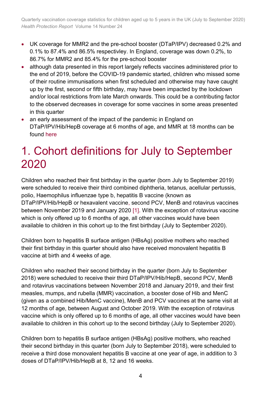- UK coverage for MMR2 and the pre-school booster (DTaP/IPV) decreased 0.2% and 0.1% to 87.4% and 86.5% respectivley. In England, coverage was down 0.2%, to 86.7% for MMR2 and 85.4% for the pre-school booster
- although data presented in this report largely reflects vaccines administered prior to the end of 2019, before the COVID-19 pandemic started, children who missed some of their routine immunisations when first scheduled and otherwise may have caught up by the first, second or fifth birthday, may have been impacted by the lockdown and/or local restrictions from late March onwards. This could be a contributing factor to the observed decreases in coverage for some vaccines in some areas presented in this quarter
- an early assessment of the impact of the pandemic in England on DTaP/IPV/Hib/HepB coverage at 6 months of age, and MMR at 18 months can be found [here](https://www.gov.uk/government/publications/covid-19-impact-on-vaccination-programmes)

### <span id="page-3-0"></span>1. Cohort definitions for July to September 2020

Children who reached their first birthday in the quarter (born July to September 2019) were scheduled to receive their third combined diphtheria, tetanus, acellular pertussis, polio, Haemophilus influenzae type b, hepatitis B vaccine (known as DTaP/IPV/Hib/HepB or hexavalent vaccine, second PCV, MenB and rotavirus vaccines between November 2019 and January 2020 [\[1\].](#page-9-2) With the exception of rotavirus vaccine which is only offered up to 6 months of age, all other vaccines would have been available to children in this cohort up to the first birthday (July to September 2020).

Children born to hepatitis B surface antigen (HBsAg) positive mothers who reached their first birthday in this quarter should also have received monovalent hepatitis B vaccine at birth and 4 weeks of age.

Children who reached their second birthday in the quarter (born July to September 2018) were scheduled to receive their third DTaP/IPV/Hib/HepB, second PCV, MenB and rotavirus vaccinations between November 2018 and January 2019, and their first measles, mumps, and rubella (MMR) vaccination, a booster dose of Hib and MenC (given as a combined Hib/MenC vaccine), MenB and PCV vaccines at the same visit at 12 months of age, between August and October 2019. With the exception of rotavirus vaccine which is only offered up to 6 months of age, all other vaccines would have been available to children in this cohort up to the second birthday (July to September 2020).

Children born to hepatitis B surface antigen (HBsAg) positive mothers, who reached their second birthday in this quarter (born July to September 2018), were scheduled to receive a third dose monovalent hepatitis B vaccine at one year of age, in addition to 3 doses of DTaP/IPV/Hib/HepB at 8, 12 and 16 weeks.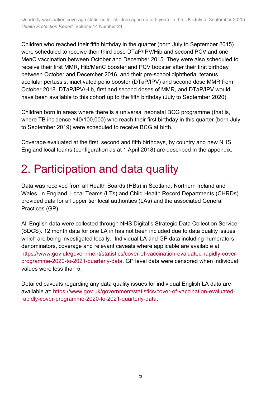Children who reached their fifth birthday in the quarter (born July to September 2015) were scheduled to receive their third dose DTaP/IPV/Hib and second PCV and one MenC vaccination between October and December 2015. They were also scheduled to receive their first MMR, Hib/MenC booster and PCV booster after their first birthday between October and December 2016, and their pre-school diphtheria, tetanus, acellular pertussis, inactivated polio booster (DTaP/IPV) and second dose MMR from October 2018. DTaP/IPV/Hib, first and second doses of MMR, and DTaP/IPV would have been available to this cohort up to the fifth birthday (July to September 2020).

Children born in areas where there is a universal neonatal BCG programme (that is, where TB incidence ≥40/100,000) who reach their first birthday in this quarter (born July to September 2019) were scheduled to receive BCG at birth.

Coverage evaluated at the first, second and fifth birthdays, by country and new NHS England local teams (configuration as at 1 April 2018) are described in the appendix.

### <span id="page-4-0"></span>2. Participation and data quality

Data was received from all Health Boards (HBs) in Scotland, Northern Ireland and Wales. In England, Local Teams (LTs) and Child Health Record Departments (CHRDs) provided data for all upper tier local authorities (LAs) and the associated General Practices (GP).

All English data were collected through NHS Digital's Strategic Data Collection Service (SDCS). 12 month data for one LA in has not been included due to data quality issues which are being investigated locally. Individual LA and GP data including numerators, denominators, coverage and relevant caveats where applicable are available at: [https://www.gov.uk/government/statistics/cover-of-vaccination-evaluated-rapidly-cover](https://www.gov.uk/government/statistics/cover-of-vaccination-evaluated-rapidly-cover-programme-2020-to-2021-quarterly-data)[programme-2020-to-2021-quarterly-data.](https://www.gov.uk/government/statistics/cover-of-vaccination-evaluated-rapidly-cover-programme-2020-to-2021-quarterly-data) GP level data were censored when individual values were less than 5.

Detailed caveats regarding any data quality issues for individual English LA data are available at: [https://www.gov.uk/government/statistics/cover-of-vaccination-evaluated](https://www.gov.uk/government/statistics/cover-of-vaccination-evaluated-rapidly-cover-programme-2020-to-2021-quarterly-data)[rapidly-cover-programme-2020-to-2021-quarterly-data.](https://www.gov.uk/government/statistics/cover-of-vaccination-evaluated-rapidly-cover-programme-2020-to-2021-quarterly-data)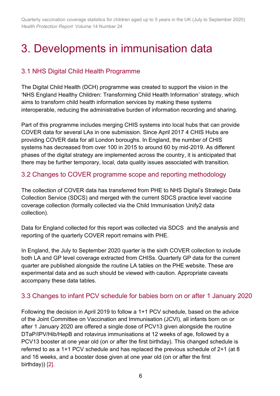## <span id="page-5-0"></span>3. Developments in immunisation data

### <span id="page-5-1"></span>3.1 NHS Digital Child Health Programme

The Digital Child Health (DCH) programme was created to support the vision in the 'NHS England Healthy Children: Transforming Child Health Information' strategy, which aims to transform child health information services by making these systems interoperable, reducing the administrative burden of information recording and sharing.

Part of this programme includes merging CHIS systems into local hubs that can provide COVER data for several LAs in one submission. Since April 2017 4 CHIS Hubs are providing COVER data for all London boroughs. In England, the number of CHIS systems has decreased from over 100 in 2015 to around 60 by mid-2019. As different phases of the digital strategy are implemented across the country, it is anticipated that there may be further temporary, local, data quality issues associated with transition.

#### <span id="page-5-2"></span>3.2 Changes to COVER programme scope and reporting methodology

The collection of COVER data has transferred from PHE to NHS Digital's Strategic Data Collection Service (SDCS) and merged with the current SDCS practice level vaccine coverage collection (formally collected via the Child Immunisation Unify2 data collection).

Data for England collected for this report was collected via SDCS and the analysis and reporting of the quarterly COVER report remains with PHE.

In England, the July to September 2020 quarter is the sixth COVER collection to include both LA and GP level coverage extracted from CHISs. Quarterly GP data for the current quarter are published alongside the routine LA tables on the PHE website. These are experimental data and as such should be viewed with caution. Appropriate caveats accompany these data tables.

#### <span id="page-5-3"></span>3.3 Changes to infant PCV schedule for babies born on or after 1 January 2020

Following the decision in April 2019 to follow a 1+1 PCV schedule, based on the advice of the Joint Committee on Vaccination and Immunisation (JCVI), all infants born on or after 1 January 2020 are offered a single dose of PCV13 given alongside the routine DTaP/IPV/Hib/HepB and rotavirus immunisations at 12 weeks of age, followed by a PCV13 booster at one year old (on or after the first birthday). This changed schedule is referred to as a 1+1 PCV schedule and has replaced the previous schedule of 2+1 (at 8 and 16 weeks, and a booster dose given at one year old (on or after the first birthday)) [\[2\].](#page-9-3)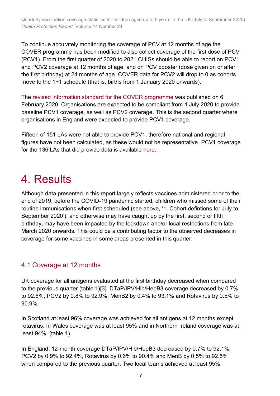To continue accurately monitoring the coverage of PCV at 12 months of age the COVER programme has been modified to also collect coverage of the first dose of PCV (PCV1). From the first quarter of 2020 to 2021 CHISs should be able to report on PCV1 and PCV2 coverage at 12 months of age, and on PCV booster (dose given on or after the first birthday) at 24 months of age. COVER data for PCV2 will drop to 0 as cohorts move to the 1+1 schedule (that is, births from 1 January 2020 onwards).

The [revised information standard for the COVER programme](https://digital.nhs.uk/data-and-information/information-standards/information-standards-and-data-collections-including-extractions/publications-and-notifications/standards-and-collections/dcb0089-cover-of-vaccination-evaluated-rapidly-cover) was published on 6 February 2020. Organisations are expected to be compliant from 1 July 2020 to provide baseline PCV1 coverage, as well as PCV2 coverage. This is the second quarter where organisations in England were expected to provide PCV1 coverage.

Fifteen of 151 LAs were not able to provide PCV1, therefore national and regional figures have not been calculated, as these would not be representative. PCV1 coverage for the 136 LAs that did provide data is available [here.](https://www.gov.uk/government/statistics/cover-of-vaccination-evaluated-rapidly-cover-programme-2020-to-2021-quarterly-data)

### <span id="page-6-0"></span>4. Results

Although data presented in this report largely reflects vaccines administered prior to the end of 2019, before the COVID-19 pandemic started, children who missed some of their routine immunisations when first scheduled (see above, '1. Cohort defintions for July to September 2020'), and otherwise may have caught up by the first, second or fifth birthday, may have been impacted by the lockdown and/or local restrictions from late March 2020 onwards. This could be a contributing factor to the observed decreases in coverage for some vaccines in some areas presented in this quarter.

#### <span id="page-6-1"></span>4.1 Coverage at 12 months

UK coverage for all antigens evaluated at the first birthday decreased when compared to the previous quarter (table 1[\)\[3\].](#page-9-4) DTaP/IPV/Hib/HepB3 coverage decreased by 0.7% to 92.6%, PCV2 by 0.8% to 92.9%, MenB2 by 0.4% to 93.1% and Rotavirus by 0.5% to 90.9%.

In Scotland at least 96% coverage was achieved for all antigens at 12 months except rotavirus. In Wales coverage was at least 95% and in Northern Ireland coverage was at least 94% (table 1).

In England, 12-month coverage DTaP/IPV/Hib/HepB3 decreased by 0.7% to 92.1%, PCV2 by 0.9% to 92.4%, Rotavirus by 0.6% to 90.4% and MenB by 0.5% to 92.5% when compared to the previous quarter. Two local teams achieved at least 95%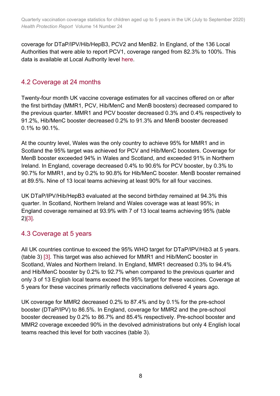coverage for DTaP/IPV/Hib/HepB3, PCV2 and MenB2. In England, of the 136 Local Authorities that were able to report PCV1, coverage ranged from 82.3% to 100%. This data is available at Local Authority level [here.](https://www.gov.uk/government/statistics/cover-of-vaccination-evaluated-rapidly-cover-programme-2020-to-2021-quarterly-data)

### <span id="page-7-0"></span>4.2 Coverage at 24 months

Twenty-four month UK vaccine coverage estimates for all vaccines offered on or after the first birthday (MMR1, PCV, Hib/MenC and MenB boosters) decreased compared to the previous quarter. MMR1 and PCV booster decreased 0.3% and 0.4% respectively to 91.2%, Hib/MenC booster decreased 0.2% to 91.3% and MenB booster decreased 0.1% to 90.1%.

At the country level, Wales was the only country to achieve 95% for MMR1 and in Scotland the 95% target was achieved for PCV and Hib/MenC boosters. Coverage for MenB booster exceeded 94% in Wales and Scotland, and exceeded 91% in Northern Ireland. In England, coverage decreased 0.4% to 90.6% for PCV booster, by 0.3% to 90.7% for MMR1, and by 0.2% to 90.8% for Hib/MenC booster. MenB booster remained at 89.5%. Nine of 13 local teams achieving at least 90% for all four vaccines.

UK DTaP/IPV/Hib/HepB3 evaluated at the second birthday remained at 94.3% this quarter. In Scotland, Northern Ireland and Wales coverage was at least 95%; in England coverage remained at 93.9% with 7 of 13 local teams achieving 95% (table 2[\)\[3\].](#page-9-4)

### <span id="page-7-1"></span>4.3 Coverage at 5 years

All UK countries continue to exceed the 95% WHO target for DTaP/IPV/Hib3 at 5 years. (table 3) [\[3\].](#page-9-4) This target was also achieved for MMR1 and Hib/MenC booster in Scotland, Wales and Northern Ireland. In England, MMR1 decreased 0.3% to 94.4% and Hib/MenC booster by 0.2% to 92.7% when compared to the previous quarter and only 3 of 13 English local teams exceed the 95% target for these vaccines. Coverage at 5 years for these vaccines primarily reflects vaccinations delivered 4 years ago.

UK coverage for MMR2 decreased 0.2% to 87.4% and by 0.1% for the pre-school booster (DTaP/IPV) to 86.5%. In England, coverage for MMR2 and the pre-school booster decreased by 0.2% to 86.7% and 85.4% respectively. Pre-school booster and MMR2 coverage exceeded 90% in the devolved administrations but only 4 English local teams reached this level for both vaccines (table 3).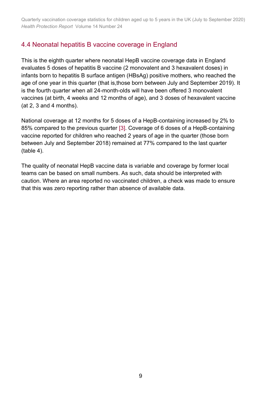### <span id="page-8-0"></span>4.4 Neonatal hepatitis B vaccine coverage in England

This is the eighth quarter where neonatal HepB vaccine coverage data in England evaluates 5 doses of hepatitis B vaccine (2 monovalent and 3 hexavalent doses) in infants born to hepatitis B surface antigen (HBsAg) positive mothers, who reached the age of one year in this quarter (that is,those born between July and September 2019). It is the fourth quarter when all 24-month-olds will have been offered 3 monovalent vaccines (at birth, 4 weeks and 12 months of age), and 3 doses of hexavalent vaccine (at 2, 3 and 4 months).

National coverage at 12 months for 5 doses of a HepB-containing increased by 2% to 85% compared to the previous quarter [\[3\].](#page-9-4) Coverage of 6 doses of a HepB-containing vaccine reported for children who reached 2 years of age in the quarter (those born between July and September 2018) remained at 77% compared to the last quarter (table 4).

The quality of neonatal HepB vaccine data is variable and coverage by former local teams can be based on small numbers. As such, data should be interpreted with caution. Where an area reported no vaccinated children, a check was made to ensure that this was zero reporting rather than absence of available data.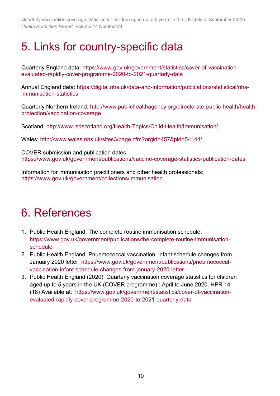## <span id="page-9-0"></span>5. Links for country-specific data

Quarterly England data: [https://www.gov.uk/government/statistics/cover-of-vaccination](https://eur01.safelinks.protection.outlook.com/?url=https%3A%2F%2Fwww.gov.uk%2Fgovernment%2Fstatistics%2Fcover-of-vaccination-evaluated-rapidly-cover-programme-2020-to-2021-quarterly-data&data=02%7C01%7CHarriet.Webster%40phe.gov.uk%7C65fc5d4c62d24b7d786e08d86616863f%7Cee4e14994a354b2ead475f3cf9de8666%7C0%7C0%7C637371594206121376&sdata=tU4fKWIZtQeMG8lTIRZgEZKxeW8i%2F5FvX3Jup%2FAZSKc%3D&reserved=0)[evaluated-rapidly-cover-programme-2020-to-2021-quarterly-data](https://eur01.safelinks.protection.outlook.com/?url=https%3A%2F%2Fwww.gov.uk%2Fgovernment%2Fstatistics%2Fcover-of-vaccination-evaluated-rapidly-cover-programme-2020-to-2021-quarterly-data&data=02%7C01%7CHarriet.Webster%40phe.gov.uk%7C65fc5d4c62d24b7d786e08d86616863f%7Cee4e14994a354b2ead475f3cf9de8666%7C0%7C0%7C637371594206121376&sdata=tU4fKWIZtQeMG8lTIRZgEZKxeW8i%2F5FvX3Jup%2FAZSKc%3D&reserved=0)

Annual England data: [https://digital.nhs.uk/data-and-information/publications/statistical/nhs](https://digital.nhs.uk/data-and-information/publications/statistical/nhs-immunisation-statistics)[immunisation-statistics](https://digital.nhs.uk/data-and-information/publications/statistical/nhs-immunisation-statistics)

Quarterly Northern Ireland: [http://www.publichealthagency.org/directorate-public-health/health](http://www.publichealthagency.org/directorate-public-health/health-protection/vaccination-coverage)[protection/vaccination-coverage](http://www.publichealthagency.org/directorate-public-health/health-protection/vaccination-coverage) 

Scotland: <http://www.isdscotland.org/Health-Topics/Child-Health/Immunisation/>

Wales:<http://www.wales.nhs.uk/sites3/page.cfm?orgid=457&pid=54144>[/](http://www.wales.nhs.uk/) 

COVER submission and publication dates: <https://www.gov.uk/government/publications/vaccine-coverage-statistics-publication-dates>

Information for immunisation practitioners and other health professionals: <https://www.gov.uk/government/collections/immunisation>

## <span id="page-9-1"></span>6. References

- <span id="page-9-2"></span>1. Public Health England. The complete routine immunisation schedule: [https://www.gov.uk/government/publications/the-complete-routine-immunisation](https://www.gov.uk/government/publications/the-complete-routine-immunisation-schedule)[schedule](https://www.gov.uk/government/publications/the-complete-routine-immunisation-schedule)
- <span id="page-9-3"></span>2. Public Health England. Pnuemococcal vaccination: infant schedule changes from January 2020 letter: [https://www.gov.uk/government/publications/pneumococcal](https://www.gov.uk/government/publications/pneumococcal-vaccination-infant-schedule-changes-from-january-2020-letter)[vaccination-infant-schedule-changes-from-january-2020-letter](https://www.gov.uk/government/publications/pneumococcal-vaccination-infant-schedule-changes-from-january-2020-letter)
- <span id="page-9-4"></span>3. Public Health England (2020). Quarterly vaccination coverage statistics for children aged up to 5 years in the UK (COVER programme) : April to June 2020. HPR 14 (18) Available at: [https://www.gov.uk/government/statistics/cover-of-vaccination](https://www.gov.uk/government/statistics/cover-of-vaccination-evaluated-rapidly-cover-programme-2020-to-2021-quarterly-data)[evaluated-rapidly-cover-programme-2020-to-2021-quarterly-data](https://www.gov.uk/government/statistics/cover-of-vaccination-evaluated-rapidly-cover-programme-2020-to-2021-quarterly-data)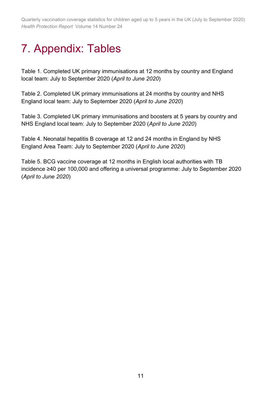# <span id="page-10-0"></span>7. Appendix: Tables

Table 1. Completed UK primary immunisations at 12 months by country and England local team: July to September 2020 (*April to June 2020*)

Table 2. Completed UK primary immunisations at 24 months by country and NHS England local team: July to September 2020 (*April to June 2020*)

Table 3. Completed UK primary immunisations and boosters at 5 years by country and NHS England local team: July to September 2020 (*April to June 2020*)

Table 4. Neonatal hepatitis B coverage at 12 and 24 months in England by NHS England Area Team: July to September 2020 (*April to June 2020*)

Table 5. BCG vaccine coverage at 12 months in English local authorities with TB incidence ≥40 per 100,000 and offering a universal programme: July to September 2020 (*April to June 2020*)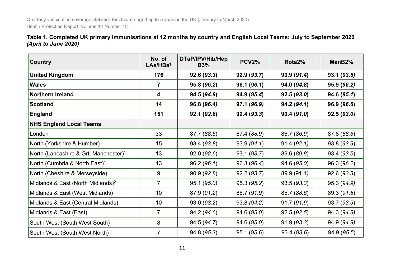|                      |  | Table 1. Completed UK primary immunisations at 12 months by country and English Local Teams: July to September 2020 |  |
|----------------------|--|---------------------------------------------------------------------------------------------------------------------|--|
| (April to June 2020) |  |                                                                                                                     |  |

<span id="page-11-0"></span>

| <b>Country</b>                                    | No. of<br>LAS/HBs <sup>†</sup> | DTaP/IPV/Hib/Hep<br><b>B3%</b> | <b>PCV2%</b> | Rota2%      | MenB <sub>2</sub> % |
|---------------------------------------------------|--------------------------------|--------------------------------|--------------|-------------|---------------------|
| <b>United Kingdom</b>                             | 176                            | 92.6(93.3)                     | 92.9(93.7)   | 90.9(91.4)  | 93.1(93.5)          |
| <b>Wales</b>                                      | $\overline{7}$                 | 95.8 (96.2)                    | 96.1(96.1)   | 94.0 (94.8) | 95.9 (96.2)         |
| Northern Ireland                                  | 4                              | 94.5 (94.9)                    | 94.9 (95.4)  | 92.5(93.0)  | 94.6 (95.1)         |
| <b>Scotland</b>                                   | 14                             | 96.8 (96.4)                    | 97.1 (96.9)  | 94.2(94.1)  | 96.9 (96.6)         |
| <b>England</b>                                    | 151                            | 92.1(92.8)                     | 92.4(93.3)   | 90.4(91.0)  | 92.5(93.0)          |
| <b>NHS England Local Teams</b>                    |                                |                                |              |             |                     |
| London                                            | 33                             | 87.7 (88.6)                    | 87.4 (88.9)  | 86.7 (86.9) | 87.8 (88.6)         |
| North (Yorkshire & Humber)                        | 15                             | 93.4 (93.8)                    | 93.9(94.1)   | 91.4(92.1)  | 93.8 (93.9)         |
| North (Lancashire & Grt. Manchester) <sup>1</sup> | 13                             | 92.0(92.6)                     | 93.1 (93.7)  | 89.6 (89.8) | 93.4 (93.5)         |
| North (Cumbria & North East) <sup>1</sup>         | 13                             | 96.2(96.1)                     | 96.3 (96.4)  | 94.6 (95.0) | 96.3 (96.2)         |
| North (Cheshire & Merseyside)                     | 9                              | 90.9(92.8)                     | 92.2(93.7)   | 89.9 (91.1) | 92.6(93.3)          |
| Midlands & East (North Midlands) <sup>2</sup>     | $\overline{7}$                 | 95.1 (95.0)                    | 95.3 (95.2)  | 93.5(93.3)  | 95.3 (94.9)         |
| Midlands & East (West Midlands)                   | 10                             | 87.9 (91.2)                    | 88.7 (91.9)  | 85.7 (88.6) | 89.3 (91.6)         |
| Midlands & East (Central Midlands)                | 10                             | 93.0 (93.2)                    | 93.8 (94.2)  | 91.7(91.9)  | 93.7 (93.9)         |
| Midlands & East (East)                            | $\overline{7}$                 | 94.2 (94.6)                    | 94.6 (95.0)  | 92.5(92.5)  | 94.3 (94.8)         |
| South West (South West South)                     | 8                              | 94.5 (94.7)                    | 94.6 (95.0)  | 91.9(93.3)  | 94.9 (94.9)         |
| South West (South West North)                     | $\overline{7}$                 | 94.8 (95.3)                    | 95.1(95.6)   | 93.4 (93.6) | 94.9 (95.5)         |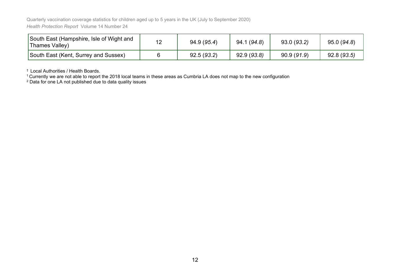| South East (Hampshire, Isle of Wight and<br>Thames Valley) | 12 | 94.9 (95.4) | 94.1 (94.8) | 93.0(93.2) | 95.0(94.8) |
|------------------------------------------------------------|----|-------------|-------------|------------|------------|
| South East (Kent, Surrey and Sussex)                       |    | 92.5(93.2)  | 92.9(93.8)  | 90.9(91.9) | 92.8(93.5) |

† Local Authorities / Health Boards.

 $^{\rm 1}$ Currently we are not able to report the 2018 local teams in these areas as Cumbria LA does not map to the new configuration

 $^{\rm 2}$  Data for one LA not published due to data quality issues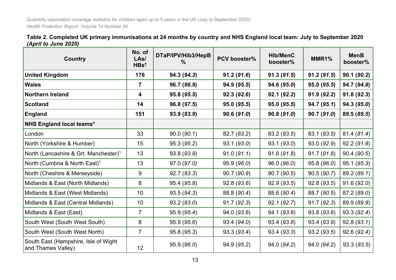| Table 2. Completed UK primary immunisations at 24 months by country and NHS England local team: July to September 2020 |  |
|------------------------------------------------------------------------------------------------------------------------|--|
| (April to June 2020)                                                                                                   |  |

<span id="page-13-0"></span>

| <b>Country</b>                                             | No. of<br>LAs/<br>$H$ Bs <sup>t</sup> | DTaP/IPV/Hib3/HepB<br>℅ | PCV booster% | <b>Hib/MenC</b><br>booster% | MMR1%       | <b>MenB</b><br>booster% |
|------------------------------------------------------------|---------------------------------------|-------------------------|--------------|-----------------------------|-------------|-------------------------|
| <b>United Kingdom</b>                                      | 176                                   | 94.3 (94.3)             | 91.2(91.6)   | 91.3(91.5)                  | 91.2(91.5)  | 90.1(90.2)              |
| <b>Wales</b>                                               | $\overline{7}$                        | 96.7 (96.9)             | 94.9 (95.5)  | 94.6 (95.0)                 | 95.0 (95.5) | 94.7 (94.8)             |
| <b>Northern Ireland</b>                                    | 4                                     | 95.8 (95.5)             | 92.3(92.6)   | 92.1(92.2)                  | 91.9(92.2)  | 91.8(92.3)              |
| <b>Scotland</b>                                            | 14                                    | 96.8 (97.5)             | 95.0 (95.5)  | 95.0 (95.5)                 | 94.7(95.1)  | 94.3 (95.0)             |
| <b>England</b>                                             | 151                                   | 93.9 (93.9)             | 90.6(91.0)   | 90.8(91.0)                  | 90.7(91.0)  | 89.5 (89.5)             |
| <b>NHS England local teams*</b>                            |                                       |                         |              |                             |             |                         |
| London                                                     | 33                                    | 90.0(90.1)              | 82.7 (83.2)  | 83.2 (83.5)                 | 83.1 (83.5) | 81.4 (81.4)             |
| North (Yorkshire & Humber)                                 | 15                                    | 95.3 (95.2)             | 93.1(93.0)   | 93.1(93.0)                  | 93.0 (92.9) | 92.2(91.8)              |
| North (Lancashire & Grt. Manchester) <sup>1</sup>          | 13                                    | 93.8 (93.9)             | 91.0(91.1)   | 91.6(91.8)                  | 91.7(91.8)  | 90.4 (90.5)             |
| North (Cumbria & North East) <sup>1</sup>                  | 13                                    | 97.0 (97.0)             | 95.9 (96.0)  | 96.0(96.0)                  | 95.8 (96.0) | 95.1 (95.3)             |
| North (Cheshire & Merseyside)                              | 9                                     | 92.7 (93.3)             | 90.7 (90.8)  | 90.7(90.5)                  | 90.5 (90.7) | 89.2 (89.1)             |
| Midlands & East (North Midlands)                           | 8                                     | 95.4 (95.8)             | 92.8(93.6)   | 92.9(93.5)                  | 92.8 (93.5) | 91.6(92.0)              |
| Midlands & East (West Midlands)                            | 10                                    | 93.5(94.3)              | 88.8 (90.4)  | 88.6 (90.4)                 | 88.7 (90.5) | 87.2 (89.0)             |
| Midlands & East (Central Midlands)                         | 10                                    | 93.2(93.0)              | 91.7(92.3)   | 92.1(92.7)                  | 91.7(92.3)  | 89.9 (89.9)             |
| Midlands & East (East)                                     | $\overline{7}$                        | 95.9 (95.4)             | 94.0(93.6)   | 94.1 (93.6)                 | 93.8 (93.6) | 93.3 (92.4)             |
| South West (South West South)                              | 8                                     | 95.9 (95.6)             | 93.4 (94.0)  | 93.4 (93.8)                 | 93.4 (93.9) | 92.8(93.1)              |
| South West (South West North)                              | $\overline{7}$                        | 95.8(95.3)              | 93.3(93.4)   | 93.4(93.3)                  | 93.2(93.5)  | 92.6(92.4)              |
| South East (Hampshire, Isle of Wight<br>and Thames Valley) | 12 <sup>2</sup>                       | 95.9 (96.0)             | 94.9 (95.2)  | 94.0 (94.2)                 | 94.0 (94.2) | 93.3(93.5)              |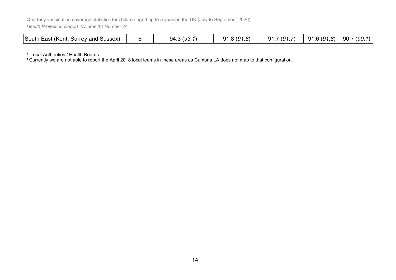| South East (Kent,<br>Surrey and Sussex) |  | (93.1)<br>94.<br>. U | R(01)<br>Ω1<br><u>JI.U IJI.U'</u> | (Q <sub>1</sub> )<br>a1.<br>$\cdot$ $\cdot$ | .8)<br>-91<br>.6 (91 | 90.7(90.1) |
|-----------------------------------------|--|----------------------|-----------------------------------|---------------------------------------------|----------------------|------------|
|-----------------------------------------|--|----------------------|-----------------------------------|---------------------------------------------|----------------------|------------|

† Local Authorities / Health Boards.

<sup>1</sup> Currently we are not able to report the April 2018 local teams in these areas as Cumbria LA does not map to that configuration.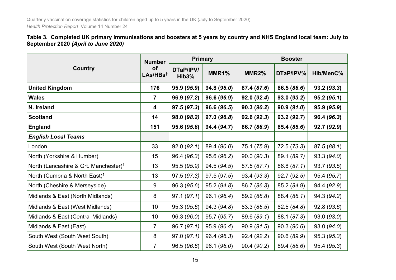#### **Table 3. Completed UK primary immunisations and boosters at 5 years by country and NHS England local team: July to September 2020** *(April to June 2020)*

<span id="page-15-0"></span>

|                                                   | <b>Number</b>                     | <b>Primary</b>                  |             | <b>Booster</b> |             |             |
|---------------------------------------------------|-----------------------------------|---------------------------------|-------------|----------------|-------------|-------------|
| <b>Country</b>                                    | <b>of</b><br>LAs/HBs <sup>t</sup> | DTaP/IPV/<br>Hib <sub>3</sub> % | MMR1%       | MMR2%          | DTaP/IPV%   | Hib/MenC%   |
| <b>United Kingdom</b>                             | 176                               | 95.9 (95.9)                     | 94.8 (95.0) | 87.4 (87.6)    | 86.5 (86.6) | 93.2 (93.3) |
| <b>Wales</b>                                      | $\overline{7}$                    | 96.9 (97.2)                     | 96.6 (96.9) | 92.0(92.4)     | 93.0 (93.2) | 95.2(95.1)  |
| N. Ireland                                        | 4                                 | 97.5 (97.3)                     | 96.6 (96.5) | 90.3(90.2)     | 90.9(91.0)  | 95.9 (95.9) |
| <b>Scotland</b>                                   | 14                                | 98.0 (98.2)                     | 97.0 (96.8) | 92.6(92.3)     | 93.2 (92.7) | 96.4 (96.3) |
| <b>England</b>                                    | 151                               | 95.6 (95.6)                     | 94.4 (94.7) | 86.7 (86.9)    | 85.4 (85.6) | 92.7 (92.9) |
| <b>English Local Teams</b>                        |                                   |                                 |             |                |             |             |
| London                                            | 33                                | 92.0(92.1)                      | 89.4 (90.0) | 75.1 (75.9)    | 72.5(73.3)  | 87.5(88.1)  |
| North (Yorkshire & Humber)                        | 15                                | 96.4 (96.3)                     | 95.6 (96.2) | 90.0(90.3)     | 89.1 (89.7) | 93.3 (94.0) |
| North (Lancashire & Grt. Manchester) <sup>1</sup> | 13                                | 95.5 (95.9)                     | 94.5 (94.5) | 87.5 (87.7)    | 86.8 (87.1) | 93.7 (93.5) |
| North (Cumbria & North East) <sup>1</sup>         | 13                                | 97.5 (97.3)                     | 97.5(97.5)  | 93.4 (93.3)    | 92.7 (92.5) | 95.4 (95.7) |
| North (Cheshire & Merseyside)                     | 9                                 | 96.3 (95.6)                     | 95.2(94.8)  | 86.7 (86.3)    | 85.2 (84.9) | 94.4 (92.9) |
| Midlands & East (North Midlands)                  | 8                                 | 97.1(97.1)                      | 96.1 (96.4) | 89.2 (88.8)    | 88.4 (88.1) | 94.3 (94.2) |
| Midlands & East (West Midlands)                   | 10 <sup>°</sup>                   | 95.3(95.6)                      | 94.3 (94.8) | 83.3 (85.5)    | 82.5 (84.8) | 92.8(93.6)  |
| Midlands & East (Central Midlands)                | 10 <sup>°</sup>                   | 96.3 (96.0)                     | 95.7 (95.7) | 89.6 (89.1)    | 88.1 (87.3) | 93.0 (93.0) |
| Midlands & East (East)                            | $\overline{7}$                    | 96.7(97.1)                      | 95.9 (96.4) | 90.9(91.5)     | 90.3(90.6)  | 93.0 (94.0) |
| South West (South West South)                     | 8                                 | 97.0(97.1)                      | 96.4 (96.3) | 92.4 (92.2)    | 90.6 (89.9) | 95.3 (95.3) |
| South West (South West North)                     | $\overline{7}$                    | 96.5(96.6)                      | 96.1(96.0)  | 90.4 (90.2)    | 89.4 (88.6) | 95.4 (95.3) |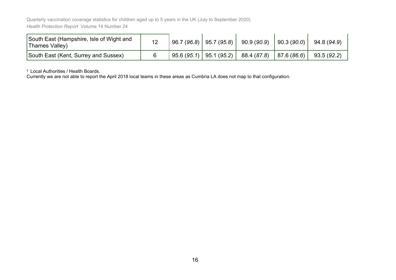| South East (Hampshire, Isle of Wight and<br>Thames Valley) | 12 | $96.7(96.8)$   95.7 (95.8) | 90.9 (90.9)               | 90.3(90.0) | 94.8 (94.9) |
|------------------------------------------------------------|----|----------------------------|---------------------------|------------|-------------|
| South East (Kent, Surrey and Sussex)                       |    | $95.6(95.1)$   95.1 (95.2) | 88.4 (87.8)   87.6 (86.6) |            | 93.5 (92.2) |

† Local Authorities / Health Boards.

Currently we are not able to report the April 2018 local teams in these areas as Cumbria LA does not map to that configuration.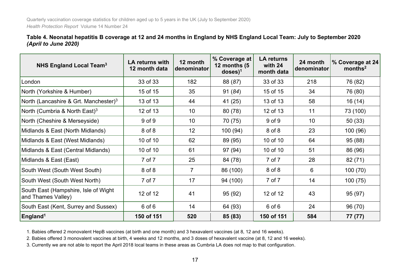**Table 4. Neonatal hepatitis B coverage at 12 and 24 months in England by NHS England Local Team: July to September 2020**  *(April to June 2020)*

| <b>NHS England Local Team<sup>3</sup></b>                  | LA returns with<br>12 month data | 12 month<br>denominator | % Coverage at<br>12 months (5<br>$doses$ <sup>1</sup> | <b>LA returns</b><br>with 24<br>month data | 24 month<br>denominator | % Coverage at 24<br>months <sup>2</sup> |
|------------------------------------------------------------|----------------------------------|-------------------------|-------------------------------------------------------|--------------------------------------------|-------------------------|-----------------------------------------|
| London                                                     | 33 of 33                         | 182                     | 88 (87)                                               | 33 of 33                                   | 218                     | 76 (82)                                 |
| North (Yorkshire & Humber)                                 | 15 of 15                         | 35                      | 91(84)                                                | 15 of 15                                   | 34                      | 76 (80)                                 |
| North (Lancashire & Grt. Manchester) <sup>3</sup>          | 13 of 13                         | 44                      | 41 (25)                                               | 13 of 13                                   | 58                      | 16 (14)                                 |
| North (Cumbria & North East) <sup>3</sup>                  | 12 of 13                         | 10                      | 80(78)                                                | 12 of 13                                   | 11                      | 73 (100)                                |
| North (Cheshire & Merseyside)                              | 9 of 9                           | 10                      | 70 (75)                                               | $9$ of $9$                                 | 10                      | 50(33)                                  |
| Midlands & East (North Midlands)                           | 8 of 8                           | 12                      | 100(94)                                               | 8 of 8                                     | 23                      | 100 (96)                                |
| Midlands & East (West Midlands)                            | 10 of 10                         | 62                      | 89 (95)                                               | 10 of 10                                   | 64                      | 95 (88)                                 |
| Midlands & East (Central Midlands)                         | 10 of 10                         | 61                      | 97 (94)                                               | 10 of 10                                   | 51                      | 86 (96)                                 |
| Midlands & East (East)                                     | 7 of 7                           | 25                      | 84 (78)                                               | 7 of 7                                     | 28                      | 82(71)                                  |
| South West (South West South)                              | 8 of 8                           | $\overline{7}$          | 86 (100)                                              | 8 of 8                                     | 6                       | 100(70)                                 |
| South West (South West North)                              | 7 of 7                           | 17                      | 94 (100)                                              | 7 of 7                                     | 14                      | 100(75)                                 |
| South East (Hampshire, Isle of Wight<br>and Thames Valley) | 12 of 12                         | 41                      | 95 (92)                                               | 12 of 12                                   | 43                      | 95(97)                                  |
| South East (Kent, Surrey and Sussex)                       | $6$ of $6$                       | 14                      | 64 (93)                                               | $6$ of $6$                                 | 24                      | 96 (70)                                 |
| England <sup>1</sup>                                       | 150 of 151                       | 520                     | 85 (83)                                               | 150 of 151                                 | 584                     | 77 (77)                                 |

<span id="page-17-0"></span>1. Babies offered 2 monovalent HepB vaccines (at birth and one month) and 3 hexavalent vaccines (at 8, 12 and 16 weeks).

2. Babies offered 3 monovalent vaccines at birth, 4 weeks and 12 months, and 3 doses of hexavalent vaccine (at 8, 12 and 16 weeks).

3. Currently we are not able to report the April 2018 local teams in these areas as Cumbria LA does not map to that configuration.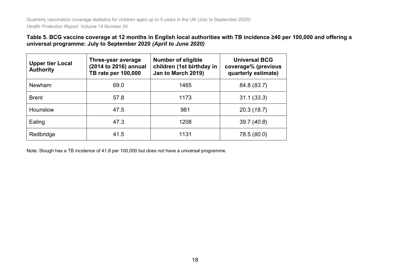#### **Table 5. BCG vaccine coverage at 12 months in English local authorities with TB incidence ≥40 per 100,000 and offering a universal programme: July to September 2020** *(April to June 2020)*

| <b>Upper tier Local</b><br><b>Authority</b> | Three-year average<br>(2014 to 2016) annual<br>TB rate per 100,000 | <b>Number of eligible</b><br>children (1st birthday in<br>Jan to March 2019) | <b>Universal BCG</b><br>coverage% (previous<br>quarterly estimate) |
|---------------------------------------------|--------------------------------------------------------------------|------------------------------------------------------------------------------|--------------------------------------------------------------------|
| <b>Newham</b>                               | 69.0                                                               | 1465                                                                         | 84.8 (83.7)                                                        |
| <b>Brent</b>                                | 57.8                                                               | 1173                                                                         | 31.1(33.3)                                                         |
| <b>Hounslow</b>                             | 47.5                                                               | 981                                                                          | 20.3(18.7)                                                         |
| Ealing                                      | 47.3                                                               | 1208                                                                         | 39.7(40.8)                                                         |
| Redbridge                                   | 41.5                                                               | 1131                                                                         | 78.5 (80.0)                                                        |

<span id="page-18-0"></span>Note: Slough has a TB incidence of 41.8 per 100,000 but does not have a universal programme.